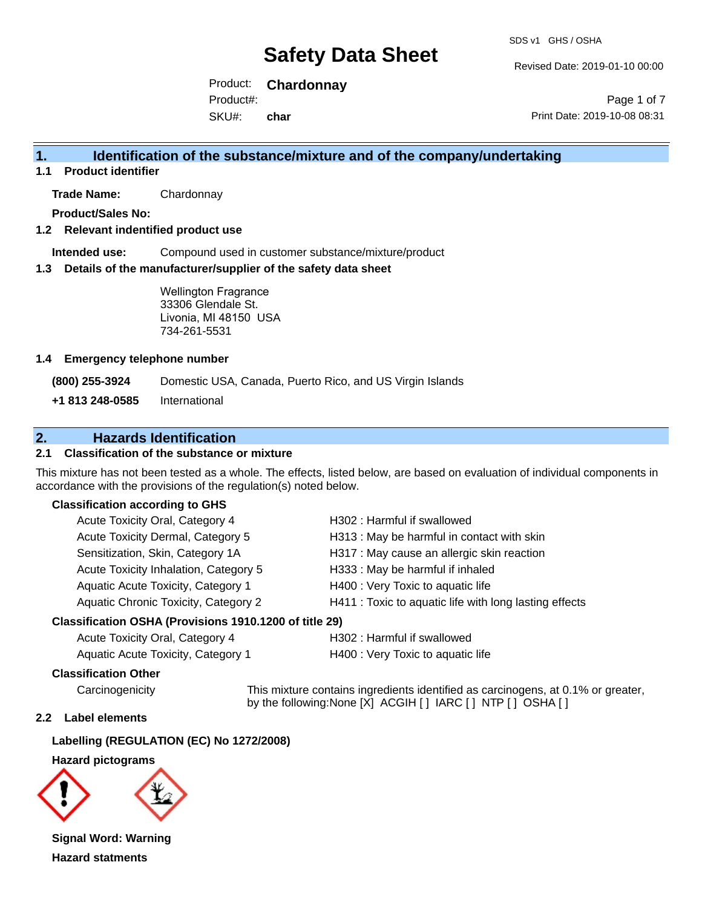SDS v1 GHS / OSHA

Revised Date: 2019-01-10 00:00

Product: **Chardonnay** SKU#: Product#: **char**

Page 1 of 7 Print Date: 2019-10-08 08:31

## **1. Identification of the substance/mixture and of the company/undertaking**

**1.1 Product identifier**

**Trade Name:** Chardonnay

**Product/Sales No:**

### **1.2 Relevant indentified product use**

**Intended use:** Compound used in customer substance/mixture/product

### **1.3 Details of the manufacturer/supplier of the safety data sheet**

Wellington Fragrance 33306 Glendale St. Livonia, MI 48150 USA 734-261-5531

### **1.4 Emergency telephone number**

**(800) 255-3924** Domestic USA, Canada, Puerto Rico, and US Virgin Islands

**+1 813 248-0585** International

## **2. Hazards Identification**

### **2.1 Classification of the substance or mixture**

This mixture has not been tested as a whole. The effects, listed below, are based on evaluation of individual components in accordance with the provisions of the regulation(s) noted below.

### **Classification according to GHS**

| Acute Toxicity Oral, Category 4       | H302: Harmful if swallowed                             |
|---------------------------------------|--------------------------------------------------------|
| Acute Toxicity Dermal, Category 5     | H313: May be harmful in contact with skin              |
| Sensitization, Skin, Category 1A      | H317 : May cause an allergic skin reaction             |
| Acute Toxicity Inhalation, Category 5 | H333: May be harmful if inhaled                        |
| Aquatic Acute Toxicity, Category 1    | H400 : Very Toxic to aquatic life                      |
| Aquatic Chronic Toxicity, Category 2  | H411 : Toxic to aquatic life with long lasting effects |
|                                       |                                                        |

### **Classification OSHA (Provisions 1910.1200 of title 29)**

| Acute Toxicity Oral, Category 4    |  |
|------------------------------------|--|
| Aquatic Acute Toxicity. Category 1 |  |

H302 : Harmful if swallowed

H400 : Very Toxic to aquatic life

### **Classification Other**

Carcinogenicity This mixture contains ingredients identified as carcinogens, at 0.1% or greater, by the following:None [X] ACGIH [ ] IARC [ ] NTP [ ] OSHA [ ]

### **2.2 Label elements**

### **Labelling (REGULATION (EC) No 1272/2008)**

#### **Hazard pictograms**



**Signal Word: Warning Hazard statments**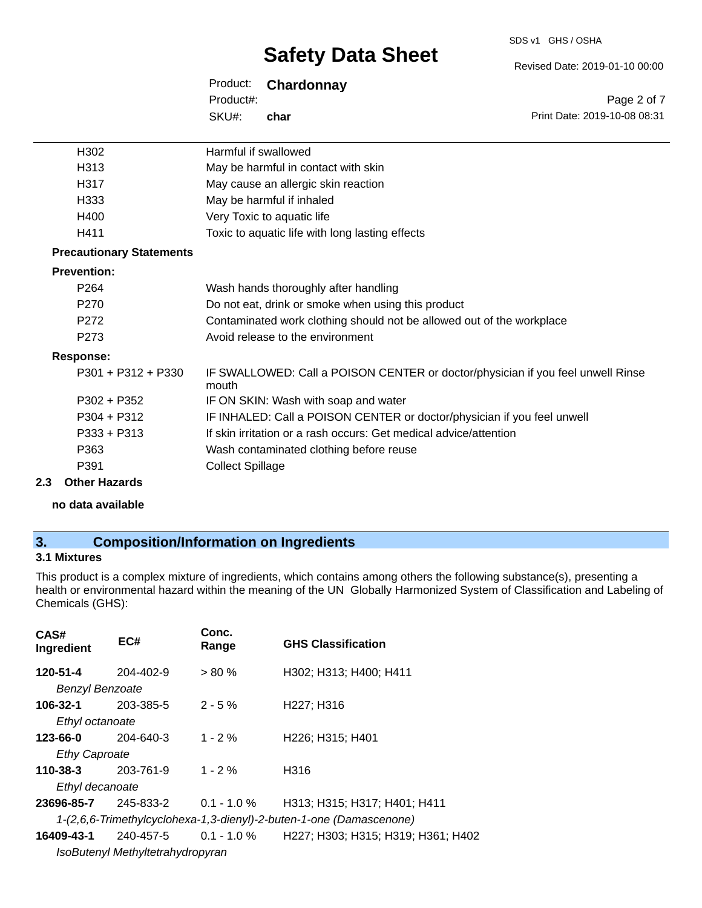SDS v1 GHS / OSHA

Revised Date: 2019-01-10 00:00

Print Date: 2019-10-08 08:31

Page 2 of 7

| Product: Chardonnay |
|---------------------|
|                     |
| char                |
|                     |

| H302                            | Harmful if swallowed                                                                     |
|---------------------------------|------------------------------------------------------------------------------------------|
| H313                            | May be harmful in contact with skin                                                      |
| H317                            | May cause an allergic skin reaction                                                      |
| H333                            | May be harmful if inhaled                                                                |
| H400                            | Very Toxic to aquatic life                                                               |
| H411                            | Toxic to aquatic life with long lasting effects                                          |
| <b>Precautionary Statements</b> |                                                                                          |
| <b>Prevention:</b>              |                                                                                          |
| P <sub>264</sub>                | Wash hands thoroughly after handling                                                     |
| P270                            | Do not eat, drink or smoke when using this product                                       |
| P272                            | Contaminated work clothing should not be allowed out of the workplace                    |
| P273                            | Avoid release to the environment                                                         |
| <b>Response:</b>                |                                                                                          |
| $P301 + P312 + P330$            | IF SWALLOWED: Call a POISON CENTER or doctor/physician if you feel unwell Rinse<br>mouth |
| $P302 + P352$                   | IF ON SKIN: Wash with soap and water                                                     |
| $P304 + P312$                   | IF INHALED: Call a POISON CENTER or doctor/physician if you feel unwell                  |
| $P333 + P313$                   | If skin irritation or a rash occurs: Get medical advice/attention                        |
| P363                            | Wash contaminated clothing before reuse                                                  |
| P391                            | <b>Collect Spillage</b>                                                                  |
|                                 |                                                                                          |

### **2.3 Other Hazards**

**no data available**

# **3. Composition/Information on Ingredients**

### **3.1 Mixtures**

This product is a complex mixture of ingredients, which contains among others the following substance(s), presenting a health or environmental hazard within the meaning of the UN Globally Harmonized System of Classification and Labeling of Chemicals (GHS):

| CAS#<br>Ingredient                                                  | EC#                              | Conc.<br>Range | <b>GHS Classification</b>           |  |  |
|---------------------------------------------------------------------|----------------------------------|----------------|-------------------------------------|--|--|
| 120-51-4                                                            | 204-402-9                        | $> 80 \%$      | H302; H313; H400; H411              |  |  |
| <b>Benzyl Benzoate</b>                                              |                                  |                |                                     |  |  |
| 106-32-1                                                            | 203-385-5                        | $2 - 5 \%$     | H <sub>227</sub> ; H <sub>316</sub> |  |  |
| Ethyl octanoate                                                     |                                  |                |                                     |  |  |
| 123-66-0                                                            | $204 - 640 - 3$                  | $1 - 2%$       | H226; H315; H401                    |  |  |
|                                                                     | <b>Ethy Caproate</b>             |                |                                     |  |  |
| 110-38-3                                                            | 203-761-9                        | $1 - 2 \%$     | H316                                |  |  |
|                                                                     | Ethyl decanoate                  |                |                                     |  |  |
| 23696-85-7                                                          | $245 - 833 - 2$ 0.1 - 1.0 %      |                | H313; H315; H317; H401; H411        |  |  |
| 1-(2,6,6-Trimethylcyclohexa-1,3-dienyl)-2-buten-1-one (Damascenone) |                                  |                |                                     |  |  |
| 16409-43-1                                                          | $240 - 457 - 5$ 0.1 - 1.0 %      |                | H227; H303; H315; H319; H361; H402  |  |  |
|                                                                     | IsoButenyl Methyltetrahydropyran |                |                                     |  |  |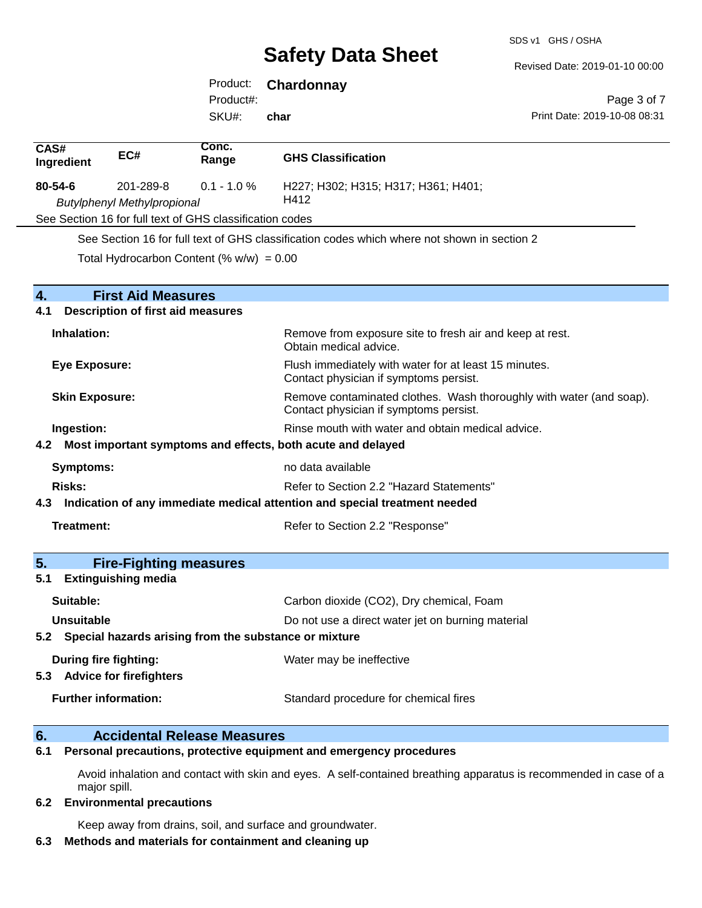SDS v1 GHS / OSHA

Revised Date: 2019-01-10 00:00

Page 3 of 7 Print Date: 2019-10-08 08:31 Product: **Chardonnay** SKU#: Product#: **char Conc. Range GHS Classification CAS# Ingredient EC#** 201-289-8 *Butylphenyl Methylpropional* 0.1 - 1.0 % H227; H302; H315; H317; H361; H401; H412 **80-54-6** See Section 16 for full text of GHS classification codes See Section 16 for full text of GHS classification codes which where not shown in section 2 Total Hydrocarbon Content  $(\% w/w) = 0.00$ **4. First Aid Measures 4.1 Description of first aid measures Inhalation:** Remove from exposure site to fresh air and keep at rest. Obtain medical advice. **Eye Exposure:** Flush immediately with water for at least 15 minutes. Contact physician if symptoms persist. **Skin Exposure: Remove contaminated clothes. Wash thoroughly with water (and soap).** Remove contaminated clothes. Wash thoroughly with water (and soap). Contact physician if symptoms persist. **Ingestion: Rinse mouth with water and obtain medical advice. Rinse mouth with water and obtain medical advice. 4.2 Most important symptoms and effects, both acute and delayed Symptoms:** no data available **Risks:** Risks: Refer to Section 2.2 "Hazard Statements" **4.3 Indication of any immediate medical attention and special treatment needed Treatment:** Treatment: Treatment: Refer to Section 2.2 "Response" **5. Fire-Fighting measures 5.1 Extinguishing media Suitable:** Carbon dioxide (CO2), Dry chemical, Foam **Unsuitable** Do not use a direct water jet on burning material **5.2 Special hazards arising from the substance or mixture During fire fighting:** Water may be ineffective **5.3 Advice for firefighters Further information:** Standard procedure for chemical fires

# **6. Accidental Release Measures**

**6.1 Personal precautions, protective equipment and emergency procedures**

Avoid inhalation and contact with skin and eyes. A self-contained breathing apparatus is recommended in case of a major spill.

### **6.2 Environmental precautions**

Keep away from drains, soil, and surface and groundwater.

### **6.3 Methods and materials for containment and cleaning up**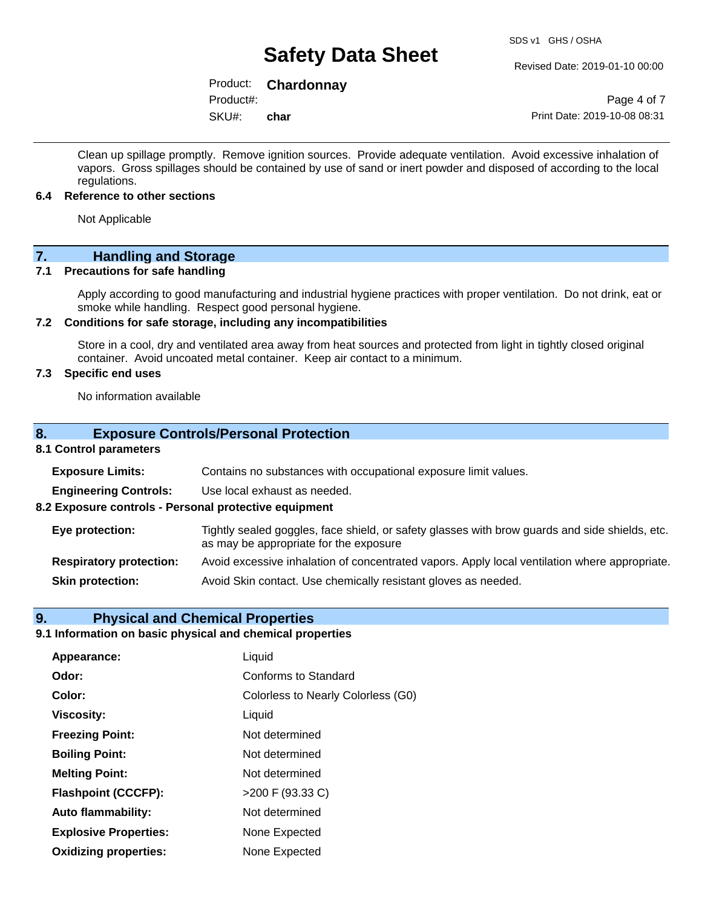### Revised Date: 2019-01-10 00:00

## Product: **Chardonnay**

SKU#: Product#: **char**

Page 4 of 7 Print Date: 2019-10-08 08:31

Clean up spillage promptly. Remove ignition sources. Provide adequate ventilation. Avoid excessive inhalation of vapors. Gross spillages should be contained by use of sand or inert powder and disposed of according to the local regulations.

### **6.4 Reference to other sections**

Not Applicable

# **7.** Handling and Storage<br> **7.1** Precautions for safe handling

### **Precautions for safe handling**

Apply according to good manufacturing and industrial hygiene practices with proper ventilation. Do not drink, eat or smoke while handling. Respect good personal hygiene.

### **7.2 Conditions for safe storage, including any incompatibilities**

Store in a cool, dry and ventilated area away from heat sources and protected from light in tightly closed original container. Avoid uncoated metal container. Keep air contact to a minimum.

### **7.3 Specific end uses**

No information available

### **8. Exposure Controls/Personal Protection**

### **8.1 Control parameters**

| <b>Exposure Limits:</b><br>Contains no substances with occupational exposure limit values.                                                                  |                                                                |  |  |  |  |
|-------------------------------------------------------------------------------------------------------------------------------------------------------------|----------------------------------------------------------------|--|--|--|--|
| <b>Engineering Controls:</b>                                                                                                                                | Use local exhaust as needed.                                   |  |  |  |  |
|                                                                                                                                                             | 8.2 Exposure controls - Personal protective equipment          |  |  |  |  |
| Tightly sealed goggles, face shield, or safety glasses with brow guards and side shields, etc.<br>Eye protection:<br>as may be appropriate for the exposure |                                                                |  |  |  |  |
| Avoid excessive inhalation of concentrated vapors. Apply local ventilation where appropriate.<br><b>Respiratory protection:</b>                             |                                                                |  |  |  |  |
| <b>Skin protection:</b>                                                                                                                                     | Avoid Skin contact. Use chemically resistant gloves as needed. |  |  |  |  |

### **9. Physical and Chemical Properties**

## **9.1 Information on basic physical and chemical properties**

| Appearance:                  | Liquid                             |
|------------------------------|------------------------------------|
| Odor:                        | <b>Conforms to Standard</b>        |
| Color:                       | Colorless to Nearly Colorless (G0) |
| <b>Viscosity:</b>            | Liquid                             |
| <b>Freezing Point:</b>       | Not determined                     |
| <b>Boiling Point:</b>        | Not determined                     |
| <b>Melting Point:</b>        | Not determined                     |
| <b>Flashpoint (CCCFP):</b>   | >200 F (93.33 C)                   |
| <b>Auto flammability:</b>    | Not determined                     |
| <b>Explosive Properties:</b> | None Expected                      |
| <b>Oxidizing properties:</b> | None Expected                      |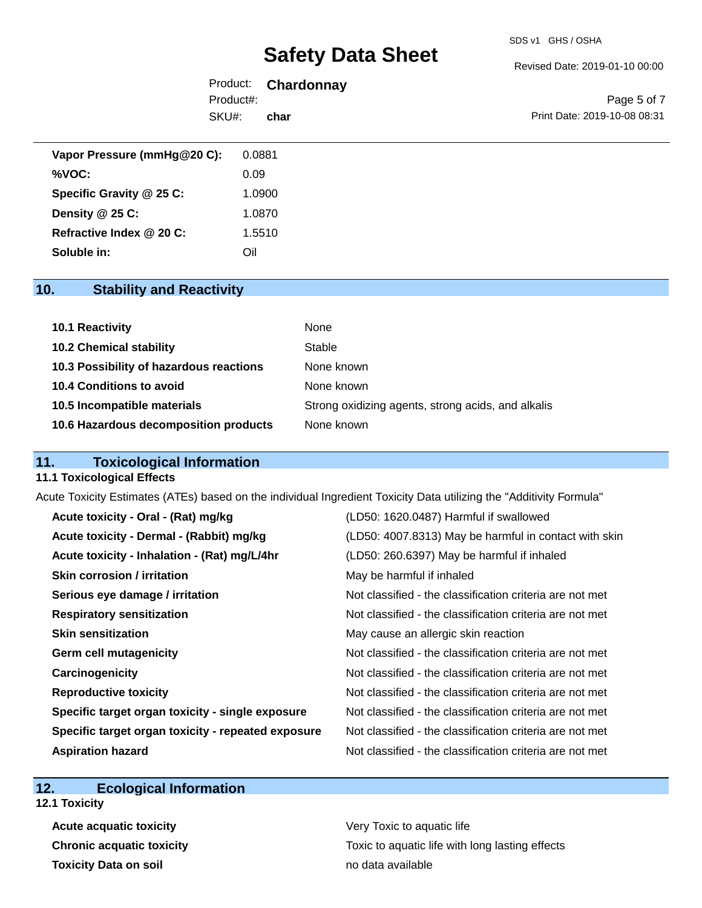Revised Date: 2019-01-10 00:00

|           | Product: <b>Chardonnay</b> |       |
|-----------|----------------------------|-------|
| Product#: |                            |       |
| SKU#:     | char                       | Print |
|           |                            |       |

Page 5 of 7 Date: 2019-10-08 08:31

| Vapor Pressure (mmHg@20 C): | 0.0881 |
|-----------------------------|--------|
| %VOC:                       | 0.09   |
| Specific Gravity @ 25 C:    | 1.0900 |
| Density $@25C$ :            | 1.0870 |
| Refractive Index @ 20 C:    | 1.5510 |
| Soluble in:                 | Oil    |

## **10. Stability and Reactivity**

| 10.1 Reactivity                         | None                                               |
|-----------------------------------------|----------------------------------------------------|
| <b>10.2 Chemical stability</b>          | Stable                                             |
| 10.3 Possibility of hazardous reactions | None known                                         |
| 10.4 Conditions to avoid                | None known                                         |
| 10.5 Incompatible materials             | Strong oxidizing agents, strong acids, and alkalis |
| 10.6 Hazardous decomposition products   | None known                                         |

## **11. Toxicological Information**

### **11.1 Toxicological Effects**

Acute Toxicity Estimates (ATEs) based on the individual Ingredient Toxicity Data utilizing the "Additivity Formula"

| Acute toxicity - Oral - (Rat) mg/kg                | (LD50: 1620.0487) Harmful if swallowed                   |
|----------------------------------------------------|----------------------------------------------------------|
| Acute toxicity - Dermal - (Rabbit) mg/kg           | (LD50: 4007.8313) May be harmful in contact with skin    |
| Acute toxicity - Inhalation - (Rat) mg/L/4hr       | (LD50: 260.6397) May be harmful if inhaled               |
| <b>Skin corrosion / irritation</b>                 | May be harmful if inhaled                                |
| Serious eye damage / irritation                    | Not classified - the classification criteria are not met |
| <b>Respiratory sensitization</b>                   | Not classified - the classification criteria are not met |
| <b>Skin sensitization</b>                          | May cause an allergic skin reaction                      |
| <b>Germ cell mutagenicity</b>                      | Not classified - the classification criteria are not met |
| Carcinogenicity                                    | Not classified - the classification criteria are not met |
| <b>Reproductive toxicity</b>                       | Not classified - the classification criteria are not met |
| Specific target organ toxicity - single exposure   | Not classified - the classification criteria are not met |
| Specific target organ toxicity - repeated exposure | Not classified - the classification criteria are not met |
| <b>Aspiration hazard</b>                           | Not classified - the classification criteria are not met |

## **12. Ecological Information**

**12.1 Toxicity**

**Acute acquatic toxicity Very Toxic to aquatic life Toxicity Data on soil no data available no data available** 

**Chronic acquatic toxicity Toxic to aquatic life with long lasting effects**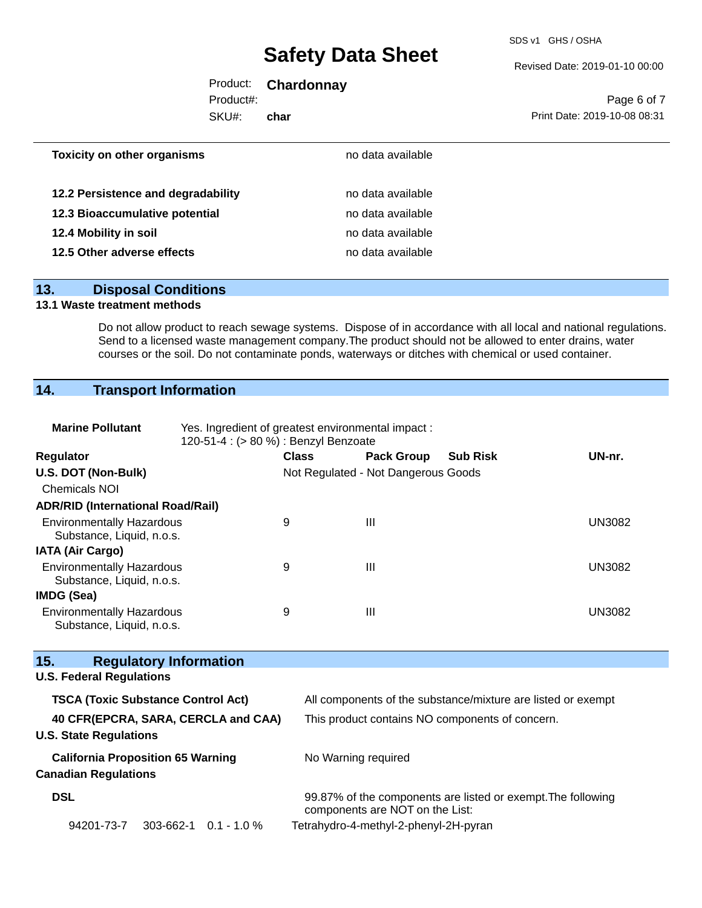SDS v1 GHS / OSHA

Revised Date: 2019-01-10 00:00

|           | Product: <b>Chardonnay</b> |                              |
|-----------|----------------------------|------------------------------|
| Product#: |                            | Page 6 of 7                  |
| SKU#:     | char                       | Print Date: 2019-10-08 08:31 |
|           |                            |                              |

| <b>Toxicity on other organisms</b> | no data available |  |
|------------------------------------|-------------------|--|
| 12.2 Persistence and degradability | no data available |  |
| 12.3 Bioaccumulative potential     | no data available |  |
| 12.4 Mobility in soil              | no data available |  |
| 12.5 Other adverse effects         | no data available |  |
|                                    |                   |  |

### **13. Disposal Conditions**

### **13.1 Waste treatment methods**

Do not allow product to reach sewage systems. Dispose of in accordance with all local and national regulations. Send to a licensed waste management company.The product should not be allowed to enter drains, water courses or the soil. Do not contaminate ponds, waterways or ditches with chemical or used container.

# **14. Transport Information**

| <b>Marine Pollutant</b>                                       | Yes. Ingredient of greatest environmental impact:<br>120-51-4 : (> 80 %) : Benzyl Benzoate |                                     |                                       |                                                              |               |
|---------------------------------------------------------------|--------------------------------------------------------------------------------------------|-------------------------------------|---------------------------------------|--------------------------------------------------------------|---------------|
|                                                               |                                                                                            | <b>Class</b>                        |                                       | <b>Sub Risk</b>                                              | UN-nr.        |
| Regulator                                                     |                                                                                            |                                     | <b>Pack Group</b>                     |                                                              |               |
| U.S. DOT (Non-Bulk)                                           |                                                                                            | Not Regulated - Not Dangerous Goods |                                       |                                                              |               |
| Chemicals NOI                                                 |                                                                                            |                                     |                                       |                                                              |               |
| <b>ADR/RID (International Road/Rail)</b>                      |                                                                                            |                                     |                                       |                                                              |               |
| <b>Environmentally Hazardous</b><br>Substance, Liquid, n.o.s. |                                                                                            | 9                                   | III                                   |                                                              | <b>UN3082</b> |
| <b>IATA (Air Cargo)</b>                                       |                                                                                            |                                     |                                       |                                                              |               |
| <b>Environmentally Hazardous</b><br>Substance, Liquid, n.o.s. |                                                                                            | 9                                   | III                                   |                                                              | <b>UN3082</b> |
| <b>IMDG (Sea)</b>                                             |                                                                                            |                                     |                                       |                                                              |               |
| <b>Environmentally Hazardous</b>                              |                                                                                            | 9                                   | Ш                                     |                                                              | <b>UN3082</b> |
| Substance, Liquid, n.o.s.                                     |                                                                                            |                                     |                                       |                                                              |               |
|                                                               |                                                                                            |                                     |                                       |                                                              |               |
| 15.<br><b>Regulatory Information</b>                          |                                                                                            |                                     |                                       |                                                              |               |
| <b>U.S. Federal Regulations</b>                               |                                                                                            |                                     |                                       |                                                              |               |
| <b>TSCA (Toxic Substance Control Act)</b>                     |                                                                                            |                                     |                                       | All components of the substance/mixture are listed or exempt |               |
| 40 CFR(EPCRA, SARA, CERCLA and CAA)                           |                                                                                            |                                     |                                       | This product contains NO components of concern.              |               |
| <b>U.S. State Regulations</b>                                 |                                                                                            |                                     |                                       |                                                              |               |
| <b>California Proposition 65 Warning</b>                      |                                                                                            | No Warning required                 |                                       |                                                              |               |
| <b>Canadian Regulations</b>                                   |                                                                                            |                                     |                                       |                                                              |               |
| <b>DSL</b>                                                    |                                                                                            |                                     | components are NOT on the List:       | 99.87% of the components are listed or exempt. The following |               |
| 94201-73-7<br>303-662-1                                       | $0.1 - 1.0 \%$                                                                             |                                     | Tetrahydro-4-methyl-2-phenyl-2H-pyran |                                                              |               |